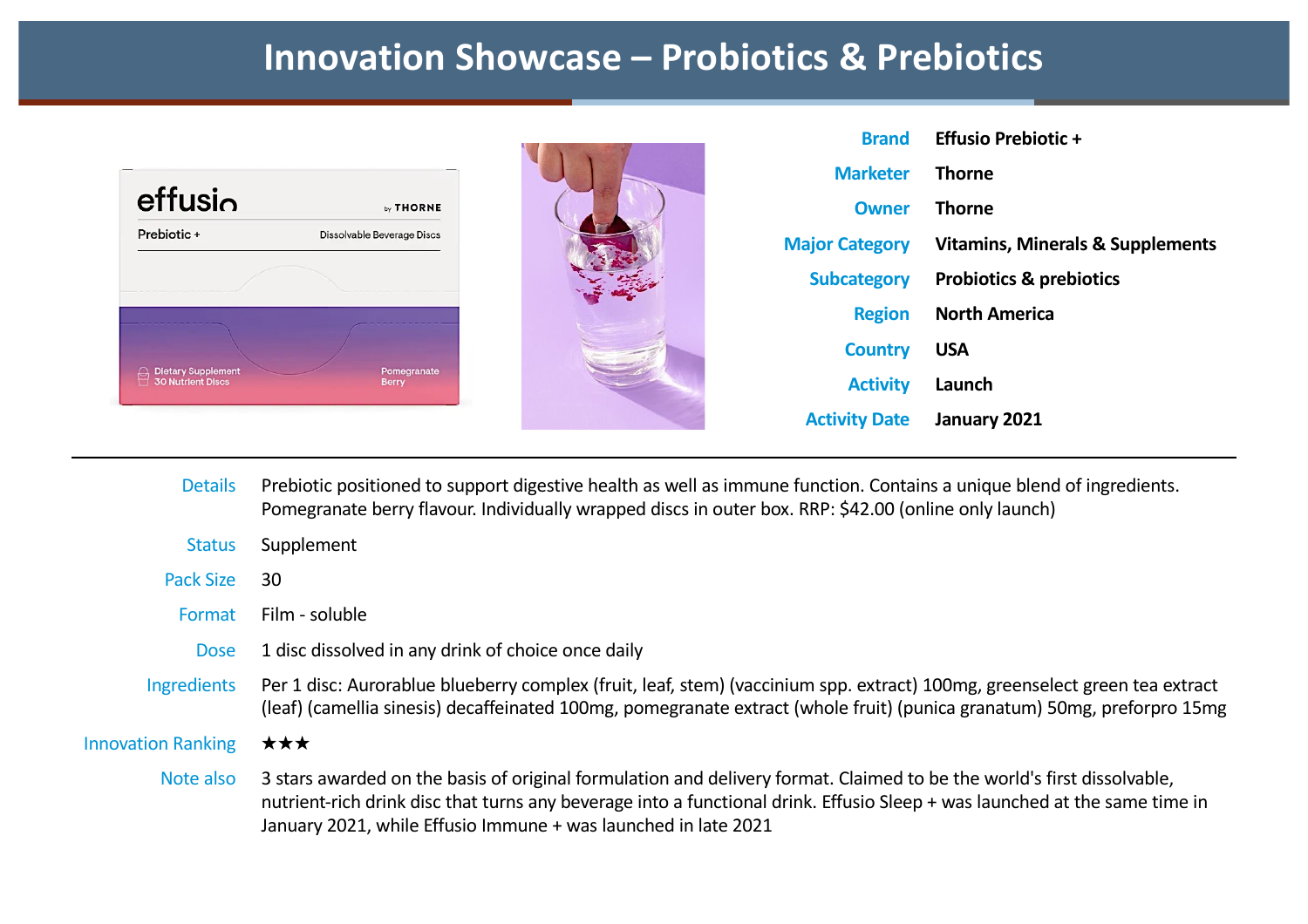### **Innovation Showcase – Probiotics & Prebiotics**

|                       | <b>Brand</b> Effusio Prebiotic +            |
|-----------------------|---------------------------------------------|
| <b>Marketer</b>       | <b>Thorne</b>                               |
| Owner                 | Thorne                                      |
| <b>Major Category</b> | <b>Vitamins, Minerals &amp; Supplements</b> |
| Subcategory           | <b>Probiotics &amp; prebiotics</b>          |
|                       | <b>Region</b> North America                 |
| <b>Country</b>        | <b>USA</b>                                  |
| <b>Activity</b>       | Launch                                      |
| <b>Activity Date</b>  | January 2021                                |

- Details Prebiotic positioned to support digestive health as well as immune function. Contains a unique blend of ingredients. Pomegranate berry flavour. Individually wrapped discs in outer box. RRP: \$42.00 (online only launch) Status Supplement Pack Size 30 Format Film - soluble Dose 1 disc dissolved in any drink of choice once daily Ingredients Per 1 disc: Aurorablue blueberry complex (fruit, leaf, stem) (vaccinium spp. extract) 100mg, greenselect green tea extract (leaf) (camellia sinesis) decaffeinated 100mg, pomegranate extract (whole fruit) (punica granatum) 50mg, preforpro 15mg Innovation Ranking ★★★ Note also 3 stars awarded on the basis of original formulation and delivery format. Claimed to be the world's first dissolvable, nutrient-rich drink disc that turns any beverage into a functional drink. Effusio Sleep + was launched at the same time in
	- January 2021, while Effusio Immune + was launched in late 2021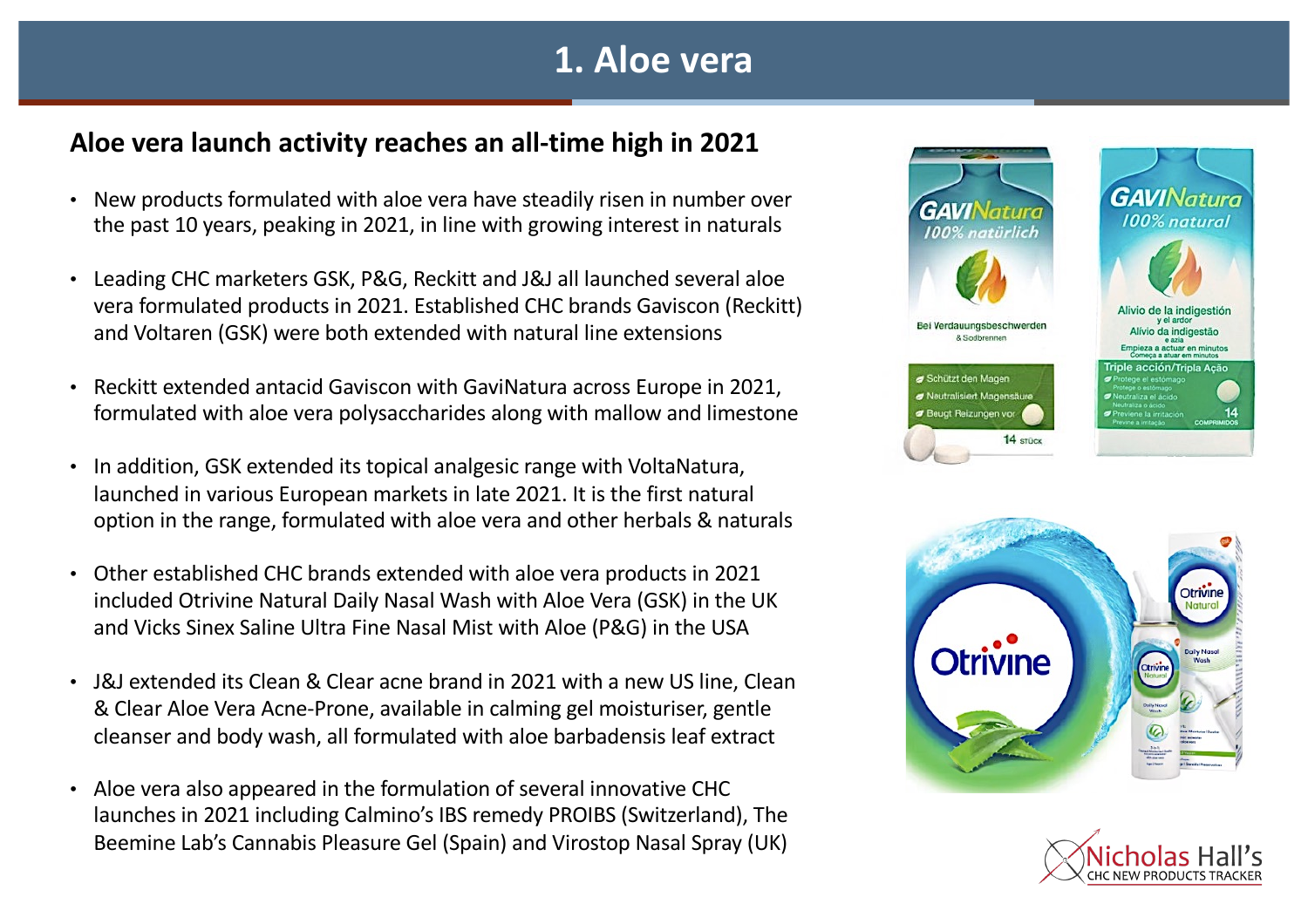### **1. Aloe vera**

#### **Aloe vera launch activity reaches an all-time high in 2021**

- New products formulated with aloe vera have steadily risen in number over the past 10 years, peaking in 2021, in line with growing interest in naturals
- Leading CHC marketers GSK, P&G, Reckitt and J&J all launched several aloe vera formulated products in 2021. Established CHC brands Gaviscon (Reckitt) and Voltaren (GSK) were both extended with natural line extensions
- Reckitt extended antacid Gaviscon with GaviNatura across Europe in 2021, formulated with aloe vera polysaccharides along with mallow and limestone
- In addition, GSK extended its topical analgesic range with VoltaNatura, launched in various European markets in late 2021. It is the first natural option in the range, formulated with aloe vera and other herbals & naturals
- Other established CHC brands extended with aloe vera products in 2021 included Otrivine Natural Daily Nasal Wash with Aloe Vera (GSK) in the UK and Vicks Sinex Saline Ultra Fine Nasal Mist with Aloe (P&G) in the USA
- J&J extended its Clean & Clear acne brand in 2021 with a new US line, Clean & Clear Aloe Vera Acne-Prone, available in calming gel moisturiser, gentle cleanser and body wash, all formulated with aloe barbadensis leaf extract
- Aloe vera also appeared in the formulation of several innovative CHC launches in 2021 including Calmino's IBS remedy PROIBS (Switzerland), The Beemine Lab's Cannabis Pleasure Gel (Spain) and Virostop Nasal Spray (UK)





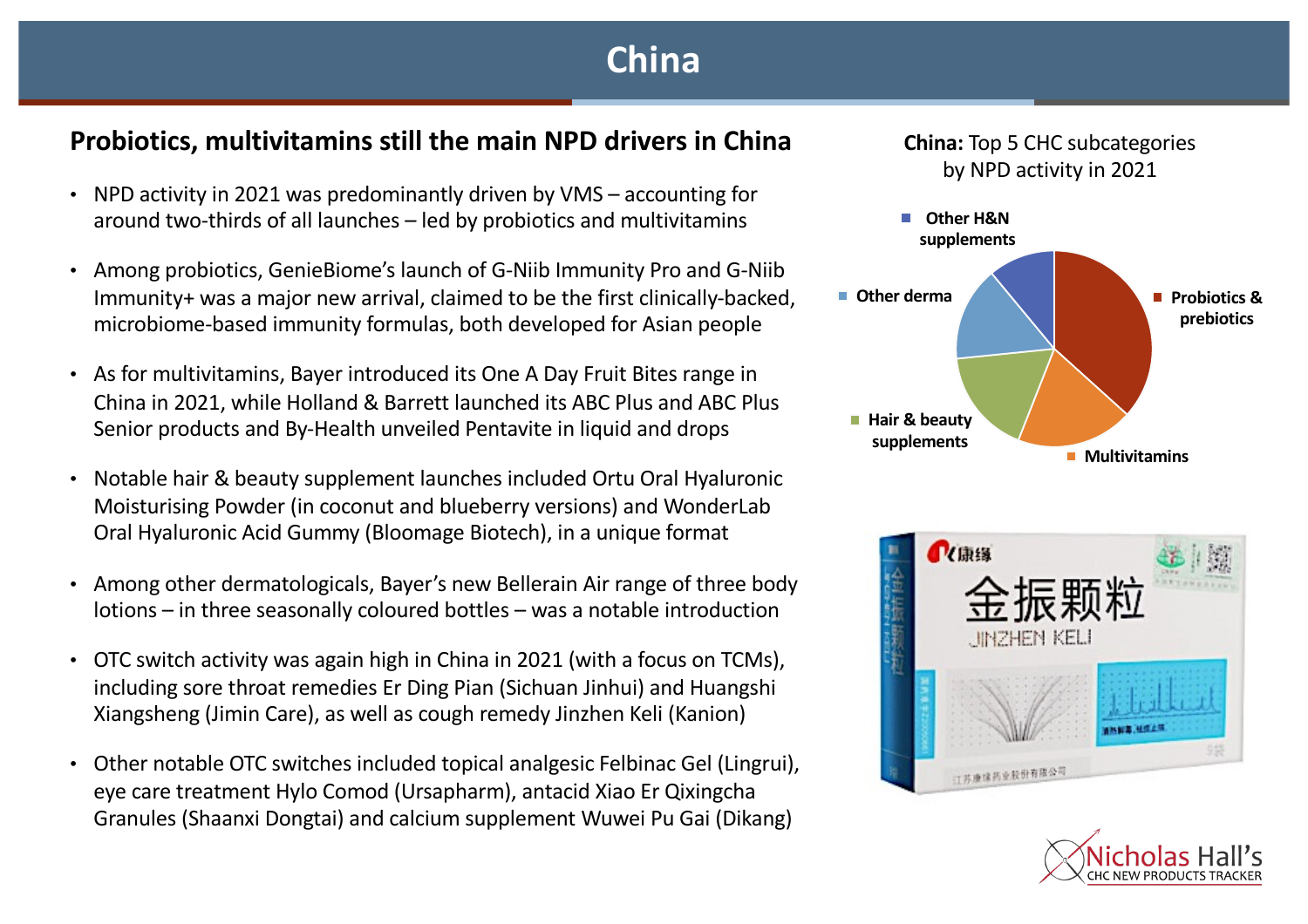# **China**

#### **Probiotics, multivitamins still the main NPD drivers in China**

- NPD activity in 2021 was predominantly driven by VMS accounting for around two-thirds of all launches – led by probiotics and multivitamins
- Among probiotics, GenieBiome's launch of G-Niib Immunity Pro and G-Niib Immunity+ was a major new arrival, claimed to be the first clinically-backed, microbiome-based immunity formulas, both developed for Asian people
- As for multivitamins, Bayer introduced its One A Day Fruit Bites range in China in 2021, while Holland & Barrett launched its ABC Plus and ABC Plus Senior products and By-Health unveiled Pentavite in liquid and drops
- Notable hair & beauty supplement launches included Ortu Oral Hyaluronic Moisturising Powder (in coconut and blueberry versions) and WonderLab Oral Hyaluronic Acid Gummy (Bloomage Biotech), in a unique format
- Among other dermatologicals, Bayer's new Bellerain Air range of three body lotions – in three seasonally coloured bottles – was a notable introduction
- OTC switch activity was again high in China in 2021 (with a focus on TCMs), including sore throat remedies Er Ding Pian (Sichuan Jinhui) and Huangshi Xiangsheng (Jimin Care), as well as cough remedy Jinzhen Keli (Kanion)
- Other notable OTC switches included topical analgesic Felbinac Gel (Lingrui), eye care treatment Hylo Comod (Ursapharm), antacid Xiao Er Qixingcha Granules (Shaanxi Dongtai) and calcium supplement Wuwei Pu Gai (Dikang)







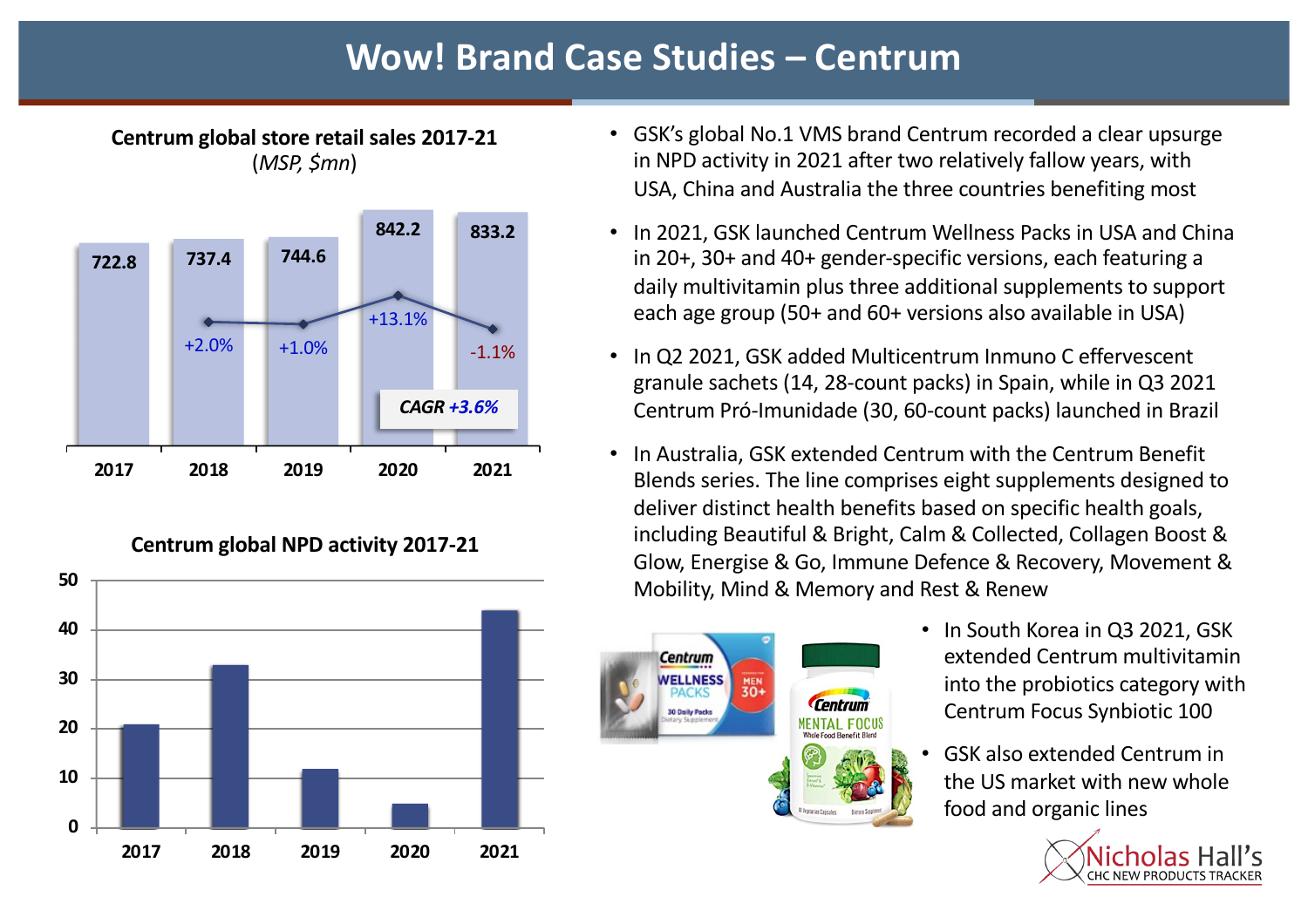# **Wow! Brand Case Studies – Centrum**



**Centrum global store retail sales 2017-21**  (*MSP, \$mn*)

**Centrum global NPD activity 2017-21**



- GSK's global No.1 VMS brand Centrum recorded a clear upsurge in NPD activity in 2021 after two relatively fallow years, with USA, China and Australia the three countries benefiting most
- In 2021, GSK launched Centrum Wellness Packs in USA and China in 20+, 30+ and 40+ gender-specific versions, each featuring a daily multivitamin plus three additional supplements to support each age group (50+ and 60+ versions also available in USA)
- In Q2 2021, GSK added Multicentrum Inmuno C effervescent granule sachets (14, 28-count packs) in Spain, while in Q3 2021 Centrum Pró-Imunidade (30, 60-count packs) launched in Brazil
- In Australia, GSK extended Centrum with the Centrum Benefit Blends series. The line comprises eight supplements designed to deliver distinct health benefits based on specific health goals, including Beautiful & Bright, Calm & Collected, Collagen Boost & Glow, Energise & Go, Immune Defence & Recovery, Movement & Mobility, Mind & Memory and Rest & Renew



- In South Korea in Q3 2021, GSK extended Centrum multivitamin into the probiotics category with Centrum Focus Synbiotic 100
- GSK also extended Centrum in the US market with new whole food and organic lines